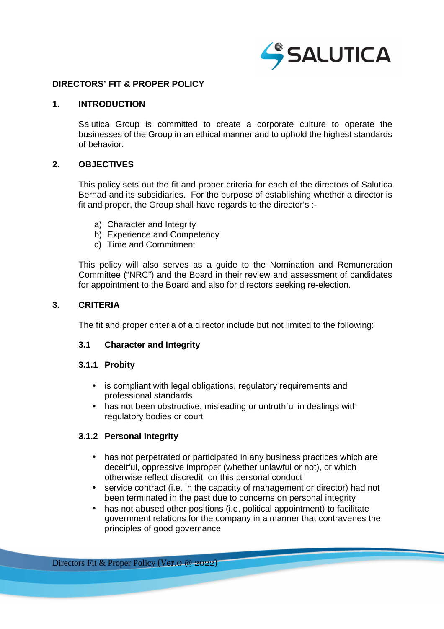

## **DIRECTORS' FIT & PROPER POLICY**

### **1. INTRODUCTION**

Salutica Group is committed to create a corporate culture to operate the businesses of the Group in an ethical manner and to uphold the highest standards of behavior.

### **2. OBJECTIVES**

This policy sets out the fit and proper criteria for each of the directors of Salutica Berhad and its subsidiaries. For the purpose of establishing whether a director is fit and proper, the Group shall have regards to the director's :-

- a) Character and Integrity
- b) Experience and Competency
- c) Time and Commitment

This policy will also serves as a guide to the Nomination and Remuneration Committee ("NRC") and the Board in their review and assessment of candidates for appointment to the Board and also for directors seeking re-election.

### **3. CRITERIA**

The fit and proper criteria of a director include but not limited to the following:

### **3.1 Character and Integrity**

### **3.1.1 Probity**

- is compliant with legal obligations, regulatory requirements and professional standards
- has not been obstructive, misleading or untruthful in dealings with regulatory bodies or court

# **3.1.2 Personal Integrity**

- has not perpetrated or participated in any business practices which are deceitful, oppressive improper (whether unlawful or not), or which otherwise reflect discredit on this personal conduct
- service contract (i.e. in the capacity of management or director) had not been terminated in the past due to concerns on personal integrity
- has not abused other positions (i.e. political appointment) to facilitate government relations for the company in a manner that contravenes the principles of good governance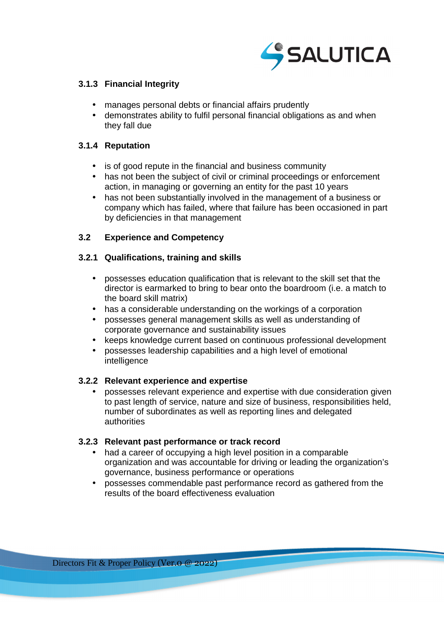

# **3.1.3 Financial Integrity**

- manages personal debts or financial affairs prudently
- demonstrates ability to fulfil personal financial obligations as and when they fall due

## **3.1.4 Reputation**

- is of good repute in the financial and business community
- has not been the subject of civil or criminal proceedings or enforcement action, in managing or governing an entity for the past 10 years
- has not been substantially involved in the management of a business or company which has failed, where that failure has been occasioned in part by deficiencies in that management

# **3.2 Experience and Competency**

# **3.2.1 Qualifications, training and skills**

- possesses education qualification that is relevant to the skill set that the director is earmarked to bring to bear onto the boardroom (i.e. a match to the board skill matrix)
- has a considerable understanding on the workings of a corporation
- possesses general management skills as well as understanding of corporate governance and sustainability issues
- keeps knowledge current based on continuous professional development
- possesses leadership capabilities and a high level of emotional intelligence

# **3.2.2 Relevant experience and expertise**

• possesses relevant experience and expertise with due consideration given to past length of service, nature and size of business, responsibilities held, number of subordinates as well as reporting lines and delegated authorities

# **3.2.3 Relevant past performance or track record**

- had a career of occupying a high level position in a comparable organization and was accountable for driving or leading the organization's governance, business performance or operations
- possesses commendable past performance record as gathered from the results of the board effectiveness evaluation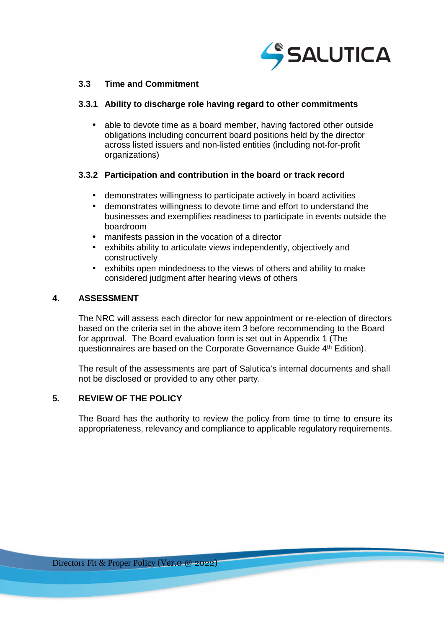

## **3.3 Time and Commitment**

### **3.3.1 Ability to discharge role having regard to other commitments**

• able to devote time as a board member, having factored other outside obligations including concurrent board positions held by the director across listed issuers and non-listed entities (including not-for-profit organizations)

### **3.3.2 Participation and contribution in the board or track record**

- demonstrates willingness to participate actively in board activities
- demonstrates willingness to devote time and effort to understand the businesses and exemplifies readiness to participate in events outside the boardroom
- manifests passion in the vocation of a director
- exhibits ability to articulate views independently, objectively and constructively
- exhibits open mindedness to the views of others and ability to make considered judgment after hearing views of others

### **4. ASSESSMENT**

The NRC will assess each director for new appointment or re-election of directors based on the criteria set in the above item 3 before recommending to the Board for approval. The Board evaluation form is set out in Appendix 1 (The questionnaires are based on the Corporate Governance Guide 4<sup>th</sup> Edition).

The result of the assessments are part of Salutica's internal documents and shall not be disclosed or provided to any other party.

### **5. REVIEW OF THE POLICY**

The Board has the authority to review the policy from time to time to ensure its appropriateness, relevancy and compliance to applicable regulatory requirements.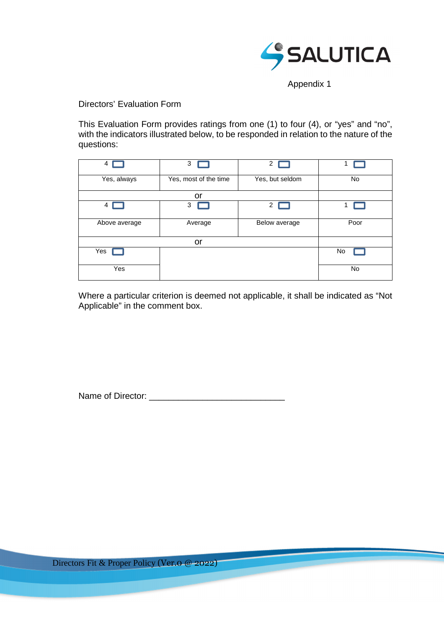

Appendix 1

Directors' Evaluation Form

This Evaluation Form provides ratings from one (1) to four (4), or "yes" and "no", with the indicators illustrated below, to be responded in relation to the nature of the questions:

| 4             | 3                     | $\mathbf{2}$    |      |
|---------------|-----------------------|-----------------|------|
| Yes, always   | Yes, most of the time | Yes, but seldom | No   |
|               | or                    |                 |      |
| 4             | 3                     | 2               |      |
| Above average | Average               | Below average   | Poor |
|               | or                    |                 |      |
| Yes           |                       |                 | No   |
| Yes           |                       |                 | No   |

Where a particular criterion is deemed not applicable, it shall be indicated as "Not Applicable" in the comment box.

Name of Director: \_\_\_\_\_\_\_\_\_\_\_\_\_\_\_\_\_\_\_\_\_\_\_\_\_\_\_\_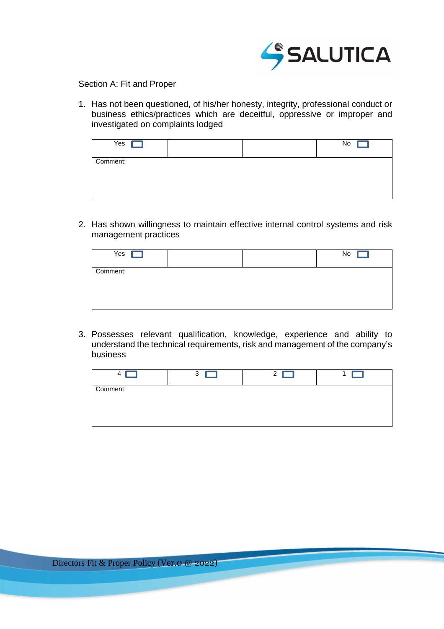

Section A: Fit and Proper

1. Has not been questioned, of his/her honesty, integrity, professional conduct or business ethics/practices which are deceitful, oppressive or improper and investigated on complaints lodged

| Yes $\Gamma$ |  | No |
|--------------|--|----|
| Comment:     |  |    |
|              |  |    |

2. Has shown willingness to maintain effective internal control systems and risk management practices

| Yes      |  | No |
|----------|--|----|
| Comment: |  |    |

3. Possesses relevant qualification, knowledge, experience and ability to understand the technical requirements, risk and management of the company's business

| Δ        | 3 | っ |  |
|----------|---|---|--|
| Comment: |   |   |  |
|          |   |   |  |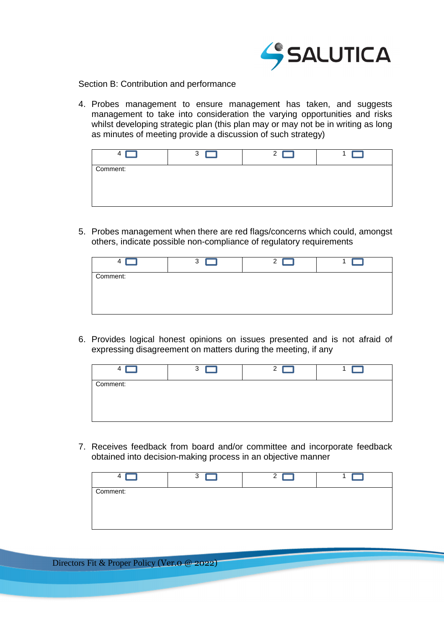

Section B: Contribution and performance

4. Probes management to ensure management has taken, and suggests management to take into consideration the varying opportunities and risks whilst developing strategic plan (this plan may or may not be in writing as long as minutes of meeting provide a discussion of such strategy)

| 4        | 3 | ◠ |  |
|----------|---|---|--|
| Comment: |   |   |  |
|          |   |   |  |

5. Probes management when there are red flags/concerns which could, amongst others, indicate possible non-compliance of regulatory requirements

|          | 3 | 2 <sub>1</sub> | H. |
|----------|---|----------------|----|
| Comment: |   |                |    |
|          |   |                |    |

6. Provides logical honest opinions on issues presented and is not afraid of expressing disagreement on matters during the meeting, if any

|          | 3 | ◠ |  |
|----------|---|---|--|
| Comment: |   |   |  |
|          |   |   |  |

7. Receives feedback from board and/or committee and incorporate feedback obtained into decision-making process in an objective manner

|          | 3 | ົ |  |
|----------|---|---|--|
| Comment: |   |   |  |
|          |   |   |  |

Directors Fit & Proper Policy (Ver.0 @ 2022)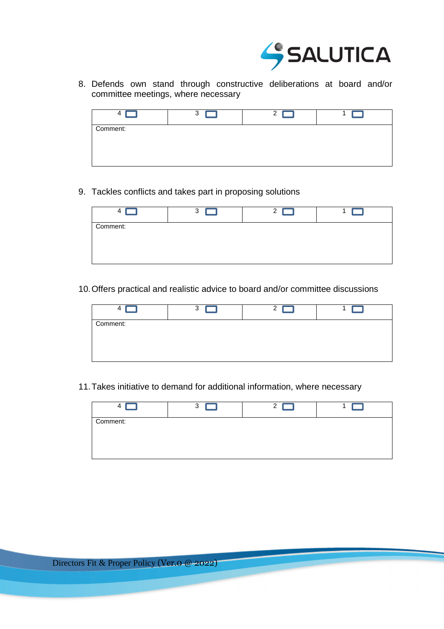

8. Defends own stand through constructive deliberations at board and/or committee meetings, where necessary

| $\Delta$ | 3 | ◠ |  |
|----------|---|---|--|
| Comment: |   |   |  |
|          |   |   |  |
|          |   |   |  |

9. Tackles conflicts and takes part in proposing solutions

|          | 3 | $\mathbf{2}$ |  |
|----------|---|--------------|--|
| Comment: |   |              |  |
|          |   |              |  |

10. Offers practical and realistic advice to board and/or committee discussions

| Δ        | 3 | っ |  |
|----------|---|---|--|
| Comment: |   |   |  |
|          |   |   |  |

11. Takes initiative to demand for additional information, where necessary

| 4        | 3 | $\mathcal{P}$ |  |
|----------|---|---------------|--|
| Comment: |   |               |  |
|          |   |               |  |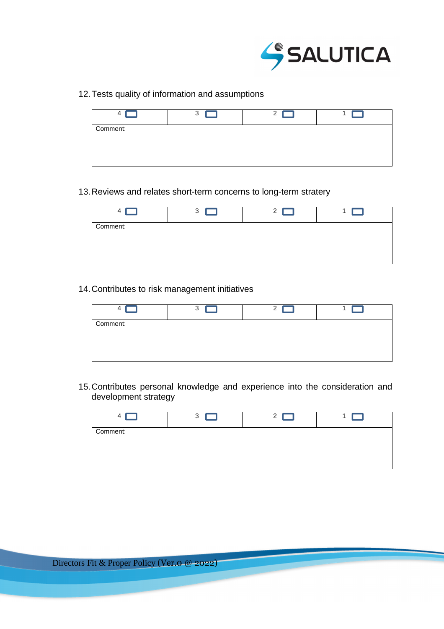

12. Tests quality of information and assumptions

|          | 3 | $\mathbf{2}$ |  |
|----------|---|--------------|--|
| Comment: |   |              |  |
|          |   |              |  |

13. Reviews and relates short-term concerns to long-term stratery

|          | 3 |  |
|----------|---|--|
| Comment: |   |  |
|          |   |  |

14. Contributes to risk management initiatives

| 4        | 3 | ົ |  |
|----------|---|---|--|
| Comment: |   |   |  |
|          |   |   |  |
|          |   |   |  |

15. Contributes personal knowledge and experience into the consideration and development strategy

|          | 3 | ⌒ |  |
|----------|---|---|--|
| Comment: |   |   |  |
|          |   |   |  |
|          |   |   |  |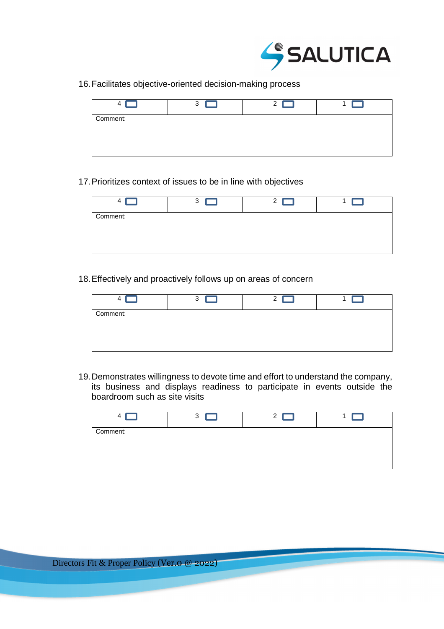

16. Facilitates objective-oriented decision-making process

| 4        | 3 | ົ |  |
|----------|---|---|--|
| Comment: |   |   |  |
|          |   |   |  |

17. Prioritizes context of issues to be in line with objectives

|          | 3 | 2 <sub>h</sub> |  |
|----------|---|----------------|--|
| Comment: |   |                |  |
|          |   |                |  |
|          |   |                |  |

18. Effectively and proactively follows up on areas of concern

| Δ        | 3 | ົ |  |
|----------|---|---|--|
| Comment: |   |   |  |
|          |   |   |  |
|          |   |   |  |

19. Demonstrates willingness to devote time and effort to understand the company, its business and displays readiness to participate in events outside the boardroom such as site visits

|          | 3 | ົ |  |
|----------|---|---|--|
| Comment: |   |   |  |
|          |   |   |  |
|          |   |   |  |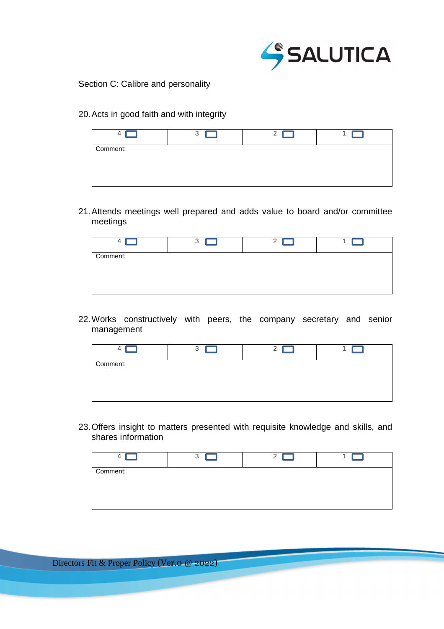

Section C: Calibre and personality

20. Acts in good faith and with integrity

| 4        | 3 | 2 |  |
|----------|---|---|--|
| Comment: |   |   |  |
|          |   |   |  |

21. Attends meetings well prepared and adds value to board and/or committee meetings

|          | 3 | າ |  |
|----------|---|---|--|
| Comment: |   |   |  |
|          |   |   |  |

22. Works constructively with peers, the company secretary and senior management

| 4        | 3 | 2 |  |
|----------|---|---|--|
| Comment: |   |   |  |
|          |   |   |  |

23. Offers insight to matters presented with requisite knowledge and skills, and shares information

| 4        | 3 | 2 |  |
|----------|---|---|--|
| Comment: |   |   |  |
|          |   |   |  |

Directors Fit & Proper Policy (Ver.0 @ 2022)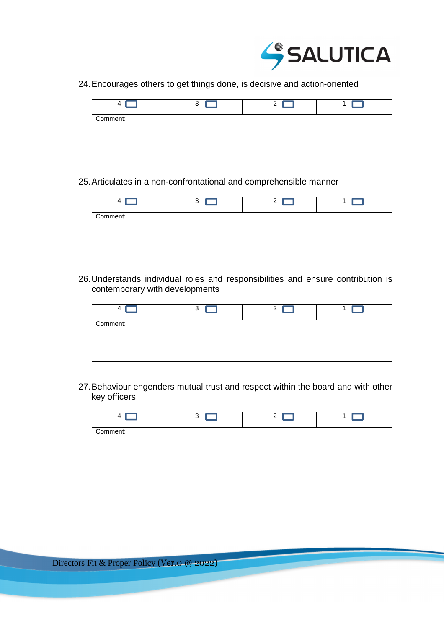

24. Encourages others to get things done, is decisive and action-oriented

|          | 3 | っ<br>∼ |  |
|----------|---|--------|--|
| Comment: |   |        |  |
|          |   |        |  |

25. Articulates in a non-confrontational and comprehensible manner

|          | 3 | っ |  |
|----------|---|---|--|
| Comment: |   |   |  |
|          |   |   |  |

26. Understands individual roles and responsibilities and ensure contribution is contemporary with developments

| 4        | 3 | C |  |
|----------|---|---|--|
| Comment: |   |   |  |
|          |   |   |  |

27. Behaviour engenders mutual trust and respect within the board and with other key officers

|          | 3 | ົ |  |
|----------|---|---|--|
| Comment: |   |   |  |
|          |   |   |  |
|          |   |   |  |